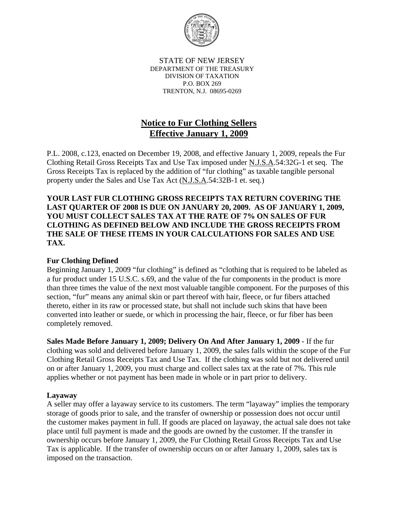

STATE OF NEW JERSEY DEPARTMENT OF THE TREASURY DIVISION OF TAXATION P.O. BOX 269 TRENTON, N.J. 08695-0269

# **Notice to Fur Clothing Sellers Effective January 1, 2009**

P.L. 2008, c.123, enacted on December 19, 2008, and effective January 1, 2009, repeals the Fur Clothing Retail Gross Receipts Tax and Use Tax imposed under N.J.S.A.54:32G-1 et seq. The Gross Receipts Tax is replaced by the addition of "fur clothing" as taxable tangible personal property under the Sales and Use Tax Act (N.J.S.A.54:32B-1 et. seq.)

**YOUR LAST FUR CLOTHING GROSS RECEIPTS TAX RETURN COVERING THE LAST QUARTER OF 2008 IS DUE ON JANUARY 20, 2009. AS OF JANUARY 1, 2009, YOU MUST COLLECT SALES TAX AT THE RATE OF 7% ON SALES OF FUR CLOTHING AS DEFINED BELOW AND INCLUDE THE GROSS RECEIPTS FROM THE SALE OF THESE ITEMS IN YOUR CALCULATIONS FOR SALES AND USE TAX.** 

# **Fur Clothing Defined**

Beginning January 1, 2009 "fur clothing" is defined as "clothing that is required to be labeled as a fur product under 15 U.S.C. s.69, and the value of the fur components in the product is more than three times the value of the next most valuable tangible component. For the purposes of this section, "fur" means any animal skin or part thereof with hair, fleece, or fur fibers attached thereto, either in its raw or processed state, but shall not include such skins that have been converted into leather or suede, or which in processing the hair, fleece, or fur fiber has been completely removed.

**Sales Made Before January 1, 2009; Delivery On And After January 1, 2009** - If the fur clothing was sold and delivered before January 1, 2009, the sales falls within the scope of the Fur Clothing Retail Gross Receipts Tax and Use Tax. If the clothing was sold but not delivered until on or after January 1, 2009, you must charge and collect sales tax at the rate of 7%. This rule applies whether or not payment has been made in whole or in part prior to delivery.

# **Layaway**

A seller may offer a layaway service to its customers. The term "layaway" implies the temporary storage of goods prior to sale, and the transfer of ownership or possession does not occur until the customer makes payment in full. If goods are placed on layaway, the actual sale does not take place until full payment is made and the goods are owned by the customer. If the transfer in ownership occurs before January 1, 2009, the Fur Clothing Retail Gross Receipts Tax and Use Tax is applicable. If the transfer of ownership occurs on or after January 1, 2009, sales tax is imposed on the transaction.